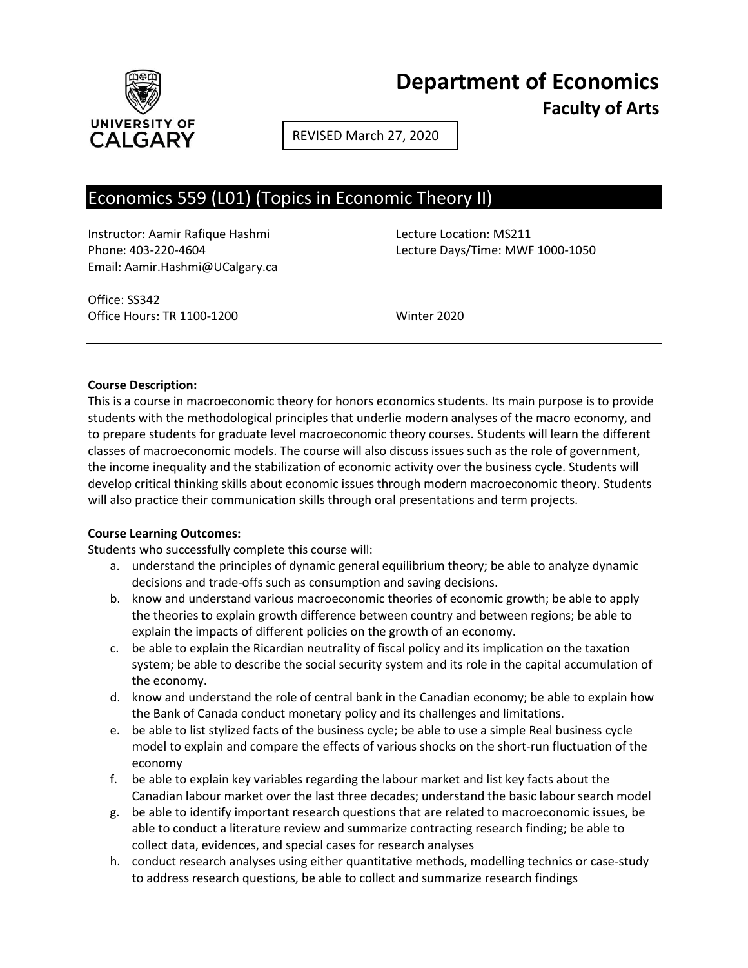

**Department of Economics Faculty of Arts**

REVISED March 27, 2020

# Economics 559 (L01) (Topics in Economic Theory II)

Instructor: Aamir Rafique Hashmi Lecture Location: MS211 Email: Aamir.Hashmi@UCalgary.ca

Phone: 403-220-4604 Lecture Days/Time: MWF 1000-1050

Office: SS342 Office Hours: TR 1100-1200 Winter 2020

#### **Course Description:**

This is a course in macroeconomic theory for honors economics students. Its main purpose is to provide students with the methodological principles that underlie modern analyses of the macro economy, and to prepare students for graduate level macroeconomic theory courses. Students will learn the different classes of macroeconomic models. The course will also discuss issues such as the role of government, the income inequality and the stabilization of economic activity over the business cycle. Students will develop critical thinking skills about economic issues through modern macroeconomic theory. Students will also practice their communication skills through oral presentations and term projects.

#### **Course Learning Outcomes:**

Students who successfully complete this course will:

- a. understand the principles of dynamic general equilibrium theory; be able to analyze dynamic decisions and trade-offs such as consumption and saving decisions.
- b. know and understand various macroeconomic theories of economic growth; be able to apply the theories to explain growth difference between country and between regions; be able to explain the impacts of different policies on the growth of an economy.
- c. be able to explain the Ricardian neutrality of fiscal policy and its implication on the taxation system; be able to describe the social security system and its role in the capital accumulation of the economy.
- d. know and understand the role of central bank in the Canadian economy; be able to explain how the Bank of Canada conduct monetary policy and its challenges and limitations.
- e. be able to list stylized facts of the business cycle; be able to use a simple Real business cycle model to explain and compare the effects of various shocks on the short-run fluctuation of the economy
- f. be able to explain key variables regarding the labour market and list key facts about the Canadian labour market over the last three decades; understand the basic labour search model
- g. be able to identify important research questions that are related to macroeconomic issues, be able to conduct a literature review and summarize contracting research finding; be able to collect data, evidences, and special cases for research analyses
- h. conduct research analyses using either quantitative methods, modelling technics or case-study to address research questions, be able to collect and summarize research findings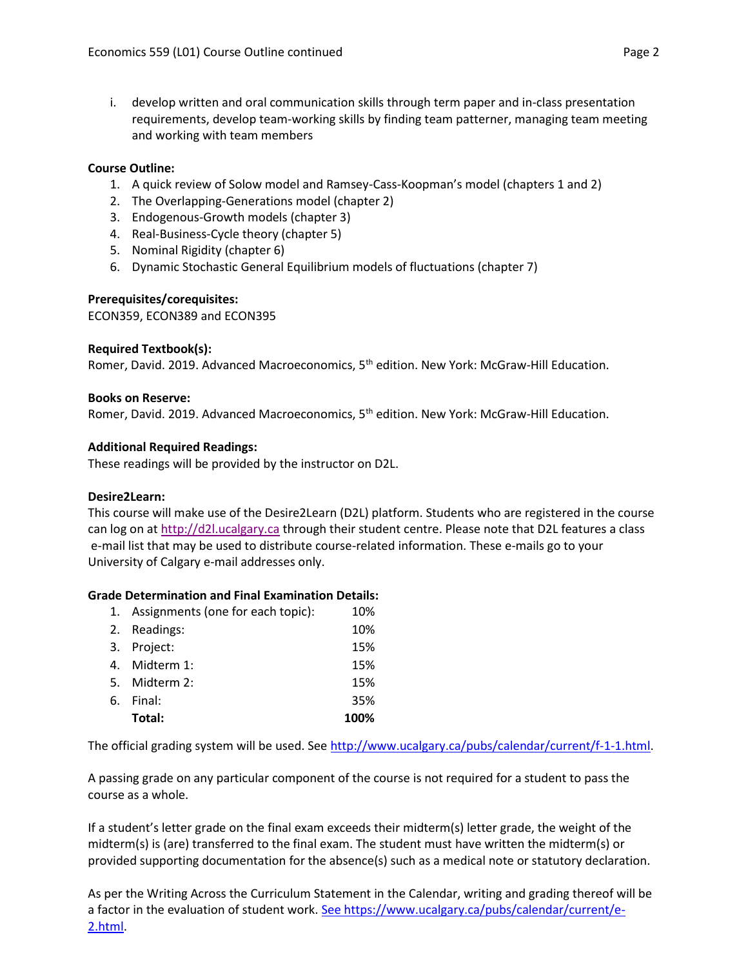i. develop written and oral communication skills through term paper and in-class presentation requirements, develop team-working skills by finding team patterner, managing team meeting and working with team members

## **Course Outline:**

- 1. A quick review of Solow model and Ramsey-Cass-Koopman's model (chapters 1 and 2)
- 2. The Overlapping-Generations model (chapter 2)
- 3. Endogenous-Growth models (chapter 3)
- 4. Real-Business-Cycle theory (chapter 5)
- 5. Nominal Rigidity (chapter 6)
- 6. Dynamic Stochastic General Equilibrium models of fluctuations (chapter 7)

### **Prerequisites/corequisites:**

ECON359, ECON389 and ECON395

#### **Required Textbook(s):**

Romer, David. 2019. Advanced Macroeconomics, 5<sup>th</sup> edition. New York: McGraw-Hill Education.

#### **Books on Reserve:**

Romer, David. 2019. Advanced Macroeconomics, 5<sup>th</sup> edition. New York: McGraw-Hill Education.

#### **Additional Required Readings:**

These readings will be provided by the instructor on D2L.

#### **Desire2Learn:**

This course will make use of the Desire2Learn (D2L) platform. Students who are registered in the course can log on a[t http://d2l.ucalgary.ca](http://d2l.ucalgary.ca/) through their student centre. Please note that D2L features a class e-mail list that may be used to distribute course-related information. These e-mails go to your University of Calgary e-mail addresses only.

#### **Grade Determination and Final Examination Details:**

| 1. Assignments (one for each topic): | 10%  |
|--------------------------------------|------|
| 2. Readings:                         | 10%  |
| 3. Project:                          | 15%  |
| 4. Midterm 1:                        | 15%  |
| 5. Midterm 2:                        | 15%  |
| 6. Final:                            | 35%  |
| Total:                               | 100% |

The official grading system will be used. Se[e http://www.ucalgary.ca/pubs/calendar/current/f-1-1.html.](http://www.ucalgary.ca/pubs/calendar/current/f-1-1.html)

A passing grade on any particular component of the course is not required for a student to pass the course as a whole.

If a student's letter grade on the final exam exceeds their midterm(s) letter grade, the weight of the midterm(s) is (are) transferred to the final exam. The student must have written the midterm(s) or provided supporting documentation for the absence(s) such as a medical note or statutory declaration.

As per the Writing Across the Curriculum Statement in the Calendar, writing and grading thereof will be a factor in the evaluation of student work. [See https://www.ucalgary.ca/pubs/calendar/current/e-](https://www.ucalgary.ca/pubs/calendar/current/e-2.html)[2.html.](https://www.ucalgary.ca/pubs/calendar/current/e-2.html)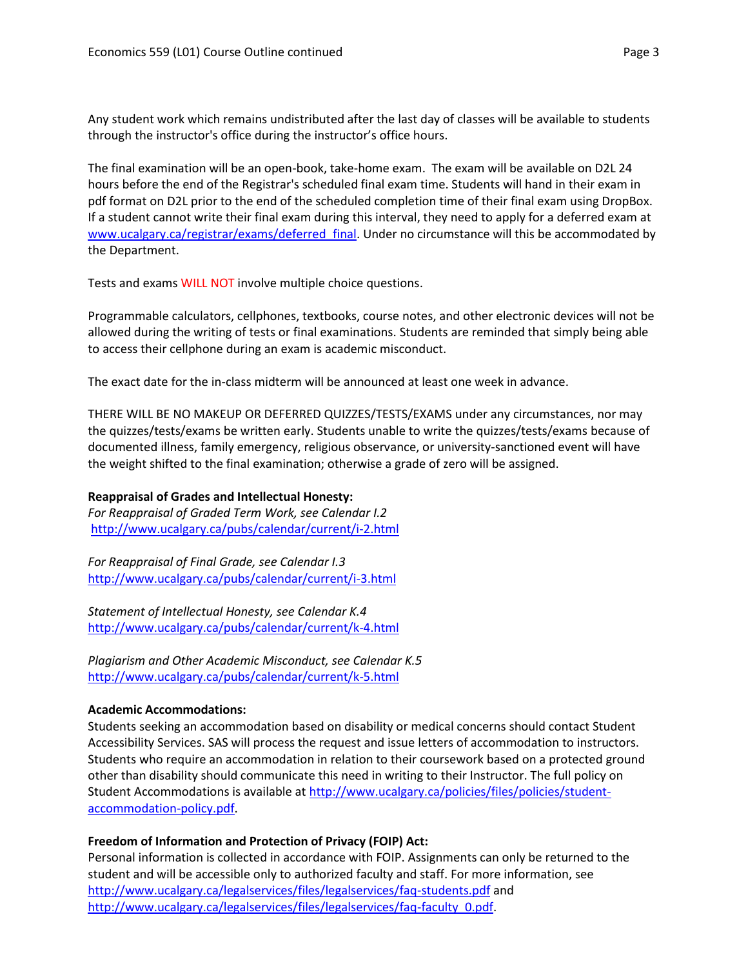Any student work which remains undistributed after the last day of classes will be available to students through the instructor's office during the instructor's office hours.

The final examination will be an open-book, take-home exam. The exam will be available on D2L 24 hours before the end of the Registrar's scheduled final exam time. Students will hand in their exam in pdf format on D2L prior to the end of the scheduled completion time of their final exam using DropBox. If a student cannot write their final exam during this interval, they need to apply for a deferred exam at [www.ucalgary.ca/registrar/exams/deferred\\_final.](http://www.ucalgary.ca/registrar/exams/deferred_final) Under no circumstance will this be accommodated by the Department.

Tests and exams WILL NOT involve multiple choice questions.

Programmable calculators, cellphones, textbooks, course notes, and other electronic devices will not be allowed during the writing of tests or final examinations. Students are reminded that simply being able to access their cellphone during an exam is academic misconduct.

The exact date for the in-class midterm will be announced at least one week in advance.

THERE WILL BE NO MAKEUP OR DEFERRED QUIZZES/TESTS/EXAMS under any circumstances, nor may the quizzes/tests/exams be written early. Students unable to write the quizzes/tests/exams because of documented illness, family emergency, religious observance, or university-sanctioned event will have the weight shifted to the final examination; otherwise a grade of zero will be assigned.

## **Reappraisal of Grades and Intellectual Honesty:**

*For Reappraisal of Graded Term Work, see Calendar I.2* <http://www.ucalgary.ca/pubs/calendar/current/i-2.html>

*For Reappraisal of Final Grade, see Calendar I.3* <http://www.ucalgary.ca/pubs/calendar/current/i-3.html>

*Statement of Intellectual Honesty, see Calendar K.4* <http://www.ucalgary.ca/pubs/calendar/current/k-4.html>

*Plagiarism and Other Academic Misconduct, see Calendar K.5* <http://www.ucalgary.ca/pubs/calendar/current/k-5.html>

#### **Academic Accommodations:**

Students seeking an accommodation based on disability or medical concerns should contact Student Accessibility Services. SAS will process the request and issue letters of accommodation to instructors. Students who require an accommodation in relation to their coursework based on a protected ground other than disability should communicate this need in writing to their Instructor. The full policy on Student Accommodations is available at [http://www.ucalgary.ca/policies/files/policies/student](http://www.ucalgary.ca/policies/files/policies/student-accommodation-policy.pdf)[accommodation-policy.pdf.](http://www.ucalgary.ca/policies/files/policies/student-accommodation-policy.pdf)

## **Freedom of Information and Protection of Privacy (FOIP) Act:**

Personal information is collected in accordance with FOIP. Assignments can only be returned to the student and will be accessible only to authorized faculty and staff. For more information, see <http://www.ucalgary.ca/legalservices/files/legalservices/faq-students.pdf> and [http://www.ucalgary.ca/legalservices/files/legalservices/faq-faculty\\_0.pdf.](http://www.ucalgary.ca/legalservices/files/legalservices/faq-faculty_0.pdf)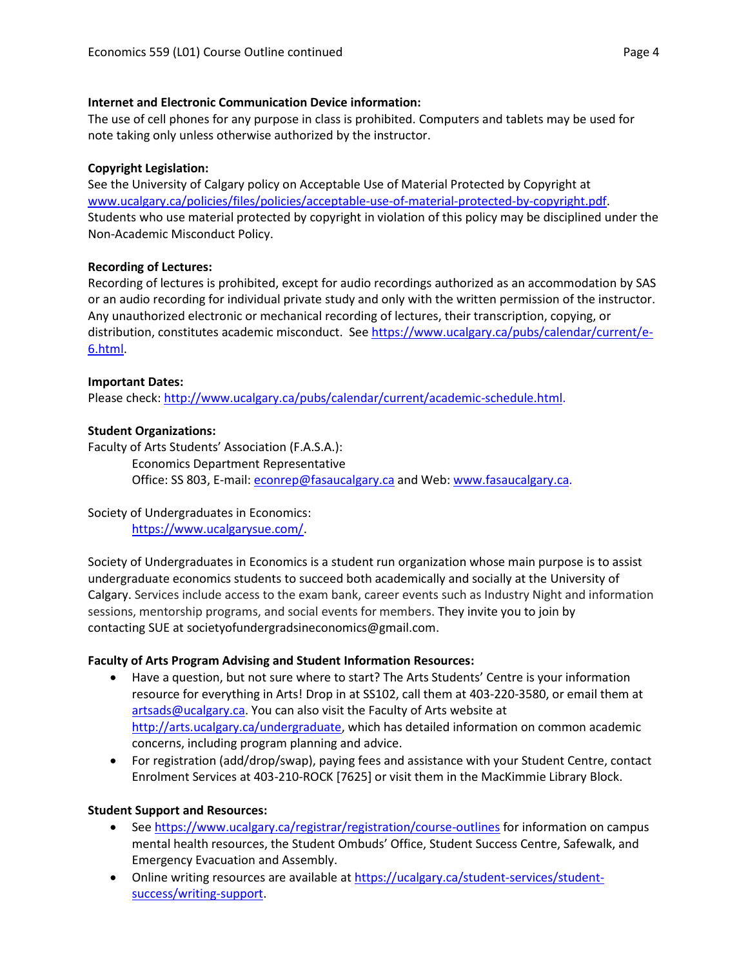### **Internet and Electronic Communication Device information:**

The use of cell phones for any purpose in class is prohibited. Computers and tablets may be used for note taking only unless otherwise authorized by the instructor.

# **Copyright Legislation:**

See the University of Calgary policy on Acceptable Use of Material Protected by Copyright at [www.ucalgary.ca/policies/files/policies/acceptable-use-of-material-protected-by-copyright.pdf.](http://www.ucalgary.ca/policies/files/policies/acceptable-use-of-material-protected-by-copyright.pdf) Students who use material protected by copyright in violation of this policy may be disciplined under the Non-Academic Misconduct Policy.

## **Recording of Lectures:**

Recording of lectures is prohibited, except for audio recordings authorized as an accommodation by SAS or an audio recording for individual private study and only with the written permission of the instructor. Any unauthorized electronic or mechanical recording of lectures, their transcription, copying, or distribution, constitutes academic misconduct. See [https://www.ucalgary.ca/pubs/calendar/current/e-](https://www.ucalgary.ca/pubs/calendar/current/e-6.html)[6.html.](https://www.ucalgary.ca/pubs/calendar/current/e-6.html)

## **Important Dates:**

Please check: [http://www.ucalgary.ca/pubs/calendar/current/academic-schedule.html.](http://www.ucalgary.ca/pubs/calendar/current/academic-schedule.html)

## **Student Organizations:**

Faculty of Arts Students' Association (F.A.S.A.): Economics Department Representative Office: SS 803, E-mail: [econrep@fasaucalgary.ca](mailto:econrep@fasaucalgary.ca) and Web: [www.fasaucalgary.ca.](http://www.fasaucalgary.ca/)

## Society of Undergraduates in Economics:

[https://www.ucalgarysue.com/.](https://www.ucalgarysue.com/)

Society of Undergraduates in Economics is a student run organization whose main purpose is to assist undergraduate economics students to succeed both academically and socially at the University of Calgary. Services include access to the exam bank, career events such as Industry Night and information sessions, mentorship programs, and social events for members. They invite you to join by contacting SUE at societyofundergradsineconomics@gmail.com.

## **Faculty of Arts Program Advising and Student Information Resources:**

- Have a question, but not sure where to start? The Arts Students' Centre is your information resource for everything in Arts! Drop in at SS102, call them at 403-220-3580, or email them at [artsads@ucalgary.ca.](mailto:artsads@ucalgary.ca) You can also visit the Faculty of Arts website at [http://arts.ucalgary.ca/undergraduate,](http://arts.ucalgary.ca/undergraduate) which has detailed information on common academic concerns, including program planning and advice.
- For registration (add/drop/swap), paying fees and assistance with your Student Centre, contact Enrolment Services at 403-210-ROCK [7625] or visit them in the MacKimmie Library Block.

## **Student Support and Resources:**

- Se[e https://www.ucalgary.ca/registrar/registration/course-outlines](https://www.ucalgary.ca/registrar/registration/course-outlines) for information on campus mental health resources, the Student Ombuds' Office, Student Success Centre, Safewalk, and Emergency Evacuation and Assembly.
- Online writing resources are available at [https://ucalgary.ca/student-services/student](https://ucalgary.ca/student-services/student-success/writing-support)[success/writing-support.](https://ucalgary.ca/student-services/student-success/writing-support)